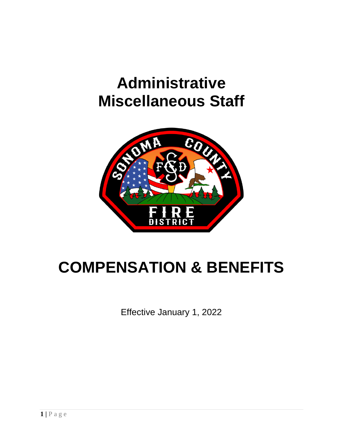# **Administrative Miscellaneous Staff**



# **COMPENSATION & BENEFITS**

Effective January 1, 2022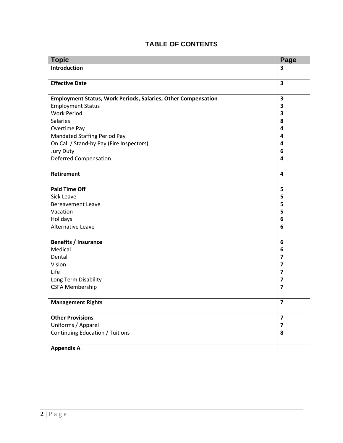| <b>Topic</b>                                                         | Page                    |
|----------------------------------------------------------------------|-------------------------|
| Introduction                                                         | 3                       |
|                                                                      |                         |
| <b>Effective Date</b>                                                | $\overline{\mathbf{3}}$ |
|                                                                      |                         |
| <b>Employment Status, Work Periods, Salaries, Other Compensation</b> | $\overline{\mathbf{3}}$ |
| <b>Employment Status</b>                                             | 3                       |
| <b>Work Period</b>                                                   | 3                       |
| <b>Salaries</b>                                                      | 8                       |
| Overtime Pay                                                         | 4                       |
| <b>Mandated Staffing Period Pay</b>                                  | 4                       |
| On Call / Stand-by Pay (Fire Inspectors)                             | 4                       |
| <b>Jury Duty</b>                                                     | 6                       |
| <b>Deferred Compensation</b>                                         | 4                       |
|                                                                      |                         |
| Retirement                                                           | 4                       |
|                                                                      |                         |
| <b>Paid Time Off</b>                                                 | 5                       |
| Sick Leave                                                           | 5                       |
| <b>Bereavement Leave</b>                                             | 5                       |
| Vacation                                                             | 5                       |
| Holidays                                                             | 6                       |
| Alternative Leave                                                    | 6                       |
|                                                                      |                         |
| <b>Benefits / Insurance</b>                                          | 6                       |
| Medical                                                              | 6                       |
| Dental                                                               | 7                       |
| Vision                                                               | 7                       |
| Life                                                                 | $\overline{\mathbf{z}}$ |
| Long Term Disability                                                 | 7                       |
| <b>CSFA Membership</b>                                               | $\overline{\mathbf{z}}$ |
|                                                                      |                         |
| <b>Management Rights</b>                                             | $\overline{\mathbf{z}}$ |
|                                                                      |                         |
| <b>Other Provisions</b>                                              | 7                       |
| Uniforms / Apparel                                                   | 7                       |
| <b>Continuing Education / Tuitions</b>                               | 8                       |
|                                                                      |                         |
| <b>Appendix A</b>                                                    |                         |

## **TABLE OF CONTENTS**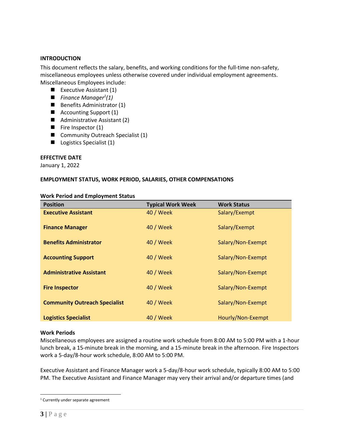#### **INTRODUCTION**

This document reflects the salary, benefits, and working conditions for the full-time non-safety, miscellaneous employees unless otherwise covered under individual employment agreements. Miscellaneous Employees include:

- $\blacksquare$  Executive Assistant (1)
- *Finance Manager<sup>1</sup>(1)*
- Benefits Administrator (1)
- Accounting Support (1)
- Administrative Assistant (2)
- Fire Inspector (1)
- Community Outreach Specialist (1)
- Logistics Specialist (1)

#### **EFFECTIVE DATE**

January 1, 2022

#### **EMPLOYMENT STATUS, WORK PERIOD, SALARIES, OTHER COMPENSATIONS**

|  | <b>Work Period and Employment Status</b> |
|--|------------------------------------------|
|--|------------------------------------------|

| <b>Position</b>                      | <b>Typical Work Week</b> | <b>Work Status</b> |
|--------------------------------------|--------------------------|--------------------|
| <b>Executive Assistant</b>           | 40 / Week                | Salary/Exempt      |
| <b>Finance Manager</b>               | 40 / Week                | Salary/Exempt      |
| <b>Benefits Administrator</b>        | 40 / Week                | Salary/Non-Exempt  |
| <b>Accounting Support</b>            | 40 / Week                | Salary/Non-Exempt  |
| <b>Administrative Assistant</b>      | 40 / Week                | Salary/Non-Exempt  |
| <b>Fire Inspector</b>                | 40 / Week                | Salary/Non-Exempt  |
| <b>Community Outreach Specialist</b> | 40 / Week                | Salary/Non-Exempt  |
| <b>Logistics Specialist</b>          | 40 / Week                | Hourly/Non-Exempt  |

#### **Work Periods**

Miscellaneous employees are assigned a routine work schedule from 8:00 AM to 5:00 PM with a 1-hour lunch break, a 15-minute break in the morning, and a 15-minute break in the afternoon. Fire Inspectors work a 5-day/8-hour work schedule, 8:00 AM to 5:00 PM.

Executive Assistant and Finance Manager work a 5-day/8-hour work schedule, typically 8:00 AM to 5:00 PM. The Executive Assistant and Finance Manager may very their arrival and/or departure times (and

<sup>1</sup> Currently under separate agreement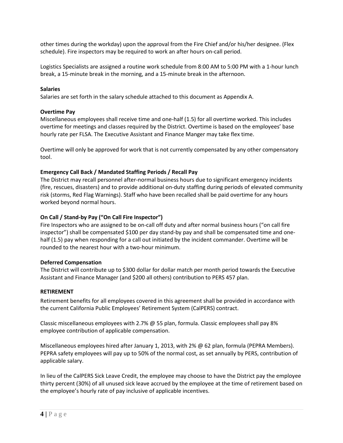other times during the workday) upon the approval from the Fire Chief and/or his/her designee. (Flex schedule). Fire inspectors may be required to work an after hours on-call period.

Logistics Specialists are assigned a routine work schedule from 8:00 AM to 5:00 PM with a 1-hour lunch break, a 15-minute break in the morning, and a 15-minute break in the afternoon.

#### **Salaries**

Salaries are set forth in the salary schedule attached to this document as Appendix A.

#### **Overtime Pay**

Miscellaneous employees shall receive time and one-half (1.5) for all overtime worked. This includes overtime for meetings and classes required by the District. Overtime is based on the employees' base hourly rate per FLSA. The Executive Assistant and Finance Manger may take flex time.

Overtime will only be approved for work that is not currently compensated by any other compensatory tool.

#### **Emergency Call Back / Mandated Staffing Periods / Recall Pay**

The District may recall personnel after-normal business hours due to significant emergency incidents (fire, rescues, disasters) and to provide additional on-duty staffing during periods of elevated community risk (storms, Red Flag Warnings). Staff who have been recalled shall be paid overtime for any hours worked beyond normal hours.

#### **On Call / Stand-by Pay ("On Call Fire Inspector")**

Fire Inspectors who are assigned to be on-call off duty and after normal business hours ("on call fire inspector") shall be compensated \$100 per day stand-by pay and shall be compensated time and onehalf (1.5) pay when responding for a call out initiated by the incident commander. Overtime will be rounded to the nearest hour with a two-hour minimum.

#### **Deferred Compensation**

The District will contribute up to \$300 dollar for dollar match per month period towards the Executive Assistant and Finance Manager (and \$200 all others) contribution to PERS 457 plan.

#### **RETIREMENT**

Retirement benefits for all employees covered in this agreement shall be provided in accordance with the current California Public Employees' Retirement System (CalPERS) contract.

Classic miscellaneous employees with 2.7% @ 55 plan, formula. Classic employees shall pay 8% employee contribution of applicable compensation.

Miscellaneous employees hired after January 1, 2013, with 2% @ 62 plan, formula (PEPRA Members). PEPRA safety employees will pay up to 50% of the normal cost, as set annually by PERS, contribution of applicable salary.

In lieu of the CalPERS Sick Leave Credit, the employee may choose to have the District pay the employee thirty percent (30%) of all unused sick leave accrued by the employee at the time of retirement based on the employee's hourly rate of pay inclusive of applicable incentives.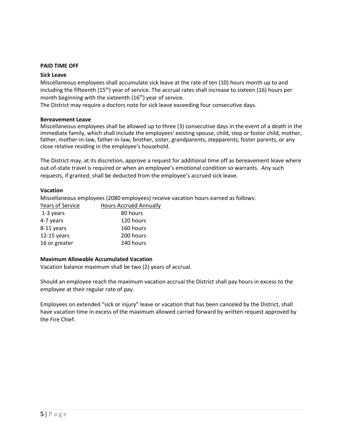#### **PAID TIME OFF**

#### **Sick Leave**

Miscellaneous employees shall accumulate sick leave at the rate of ten (10) hours month up to and including the fifteenth (15<sup>th</sup>) year of service. The accrual rates shall increase to sixteen (16) hours per month beginning with the sixteenth  $(16<sup>th</sup>)$  year of service.

The District may require a doctors note for sick leave exceeding four consecutive days.

#### **Bereavement Leave**

Miscellaneous employees shall be allowed up to three (3) consecutive days in the event of a death in the immediate family, which shall include the employees' existing spouse, child, step or foster child, mother, father, mother-in-law, father-in-law, brother, sister, grandparents, stepparents, foster parents, or any close relative residing in the employee's household.

The District may, at its discretion, approve a request for additional time off as bereavement leave where out-of-state travel is required or when an employee's emotional condition so warrants. Any such requests, if granted, shall be deducted from the employee's accrued sick leave.

#### **Vacation**

Miscellaneous employees (2080 employees) receive vacation hours earned as follows:

| Years of Service | <b>Hours Accrued Annually</b> |
|------------------|-------------------------------|
| 1-3 years        | 80 hours                      |
| 4-7 years        | 120 hours                     |
| 8-11 years       | 160 hours                     |
| $12-15$ years    | 200 hours                     |
| 16 or greater    | 240 hours                     |

#### **Maximum Allowable Accumulated Vacation**

Vacation balance maximum shall be two (2) years of accrual.

Should an employee reach the maximum vacation accrual the District shall pay hours in excess to the employee at their regular rate of pay.

Employees on extended "sick or injury" leave or vacation that has been canceled by the District, shall have vacation time in excess of the maximum allowed carried forward by written request approved by the Fire Chief.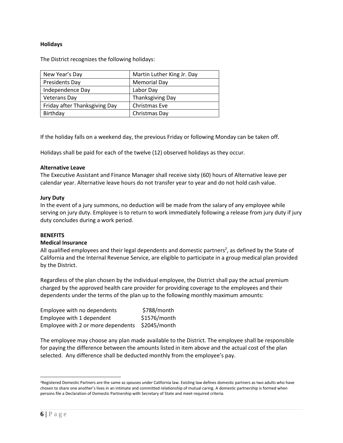#### **Holidays**

The District recognizes the following holidays:

| New Year's Day                | Martin Luther King Jr. Day |
|-------------------------------|----------------------------|
| Presidents Day                | <b>Memorial Day</b>        |
| Independence Day              | Labor Day                  |
| <b>Veterans Day</b>           | <b>Thanksgiving Day</b>    |
| Friday after Thanksgiving Day | Christmas Eve              |
| Birthday                      | Christmas Day              |

If the holiday falls on a weekend day, the previous Friday or following Monday can be taken off.

Holidays shall be paid for each of the twelve (12) observed holidays as they occur.

#### **Alternative Leave**

The Executive Assistant and Finance Manager shall receive sixty (60) hours of Alternative leave per calendar year. Alternative leave hours do not transfer year to year and do not hold cash value.

#### **Jury Duty**

In the event of a jury summons, no deduction will be made from the salary of any employee while serving on jury duty. Employee is to return to work immediately following a release from jury duty if jury duty concludes during a work period.

#### **BENEFITS**

#### **Medical Insurance**

All qualified employees and their legal dependents and domestic partners<sup>2</sup>, as defined by the State of California and the Internal Revenue Service, are eligible to participate in a group medical plan provided by the District.

Regardless of the plan chosen by the individual employee, the District shall pay the actual premium charged by the approved health care provider for providing coverage to the employees and their dependents under the terms of the plan up to the following monthly maximum amounts:

| Employee with no dependents        | \$788/month  |
|------------------------------------|--------------|
| Employee with 1 dependent          | \$1576/month |
| Employee with 2 or more dependents | \$2045/month |

The employee may choose any plan made available to the District. The employee shall be responsible for paying the difference between the amounts listed in item above and the actual cost of the plan selected. Any difference shall be deducted monthly from the employee's pay.

<sup>&</sup>lt;sup>2</sup>Registered Domestic Partners are the same as spouses under California law. Existing law defines domestic partners as two adults who have chosen to share one another's lives in an intimate and committed relationship of mutual caring. A domestic partnership is formed when persons file a Declaration of Domestic Partnership with Secretary of State and meet required criteria.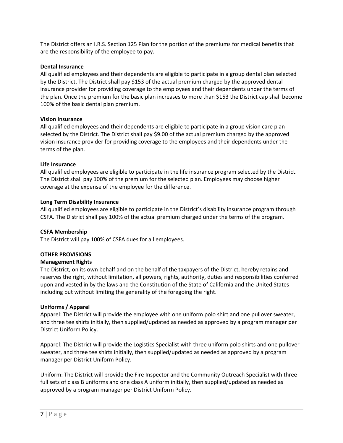The District offers an I.R.S. Section 125 Plan for the portion of the premiums for medical benefits that are the responsibility of the employee to pay.

#### **Dental Insurance**

All qualified employees and their dependents are eligible to participate in a group dental plan selected by the District. The District shall pay \$153 of the actual premium charged by the approved dental insurance provider for providing coverage to the employees and their dependents under the terms of the plan. Once the premium for the basic plan increases to more than \$153 the District cap shall become 100% of the basic dental plan premium.

#### **Vision Insurance**

All qualified employees and their dependents are eligible to participate in a group vision care plan selected by the District. The District shall pay \$9.00 of the actual premium charged by the approved vision insurance provider for providing coverage to the employees and their dependents under the terms of the plan.

#### **Life Insurance**

All qualified employees are eligible to participate in the life insurance program selected by the District. The District shall pay 100% of the premium for the selected plan. Employees may choose higher coverage at the expense of the employee for the difference.

#### **Long Term Disability Insurance**

All qualified employees are eligible to participate in the District's disability insurance program through CSFA. The District shall pay 100% of the actual premium charged under the terms of the program.

#### **CSFA Membership**

The District will pay 100% of CSFA dues for all employees.

#### **OTHER PROVISIONS**

#### **Management Rights**

The District, on its own behalf and on the behalf of the taxpayers of the District, hereby retains and reserves the right, without limitation, all powers, rights, authority, duties and responsibilities conferred upon and vested in by the laws and the Constitution of the State of California and the United States including but without limiting the generality of the foregoing the right.

#### **Uniforms / Apparel**

Apparel: The District will provide the employee with one uniform polo shirt and one pullover sweater, and three tee shirts initially, then supplied/updated as needed as approved by a program manager per District Uniform Policy.

Apparel: The District will provide the Logistics Specialist with three uniform polo shirts and one pullover sweater, and three tee shirts initially, then supplied/updated as needed as approved by a program manager per District Uniform Policy.

Uniform: The District will provide the Fire Inspector and the Community Outreach Specialist with three full sets of class B uniforms and one class A uniform initially, then supplied/updated as needed as approved by a program manager per District Uniform Policy.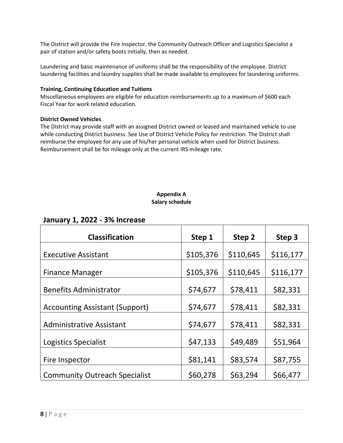The District will provide the Fire Inspector, the Community Outreach Officer and Logistics Specialist a pair of station and/or safety boots initially, then as needed.

Laundering and basic maintenance of uniforms shall be the responsibility of the employee. District laundering facilities and laundry supplies shall be made available to employees for laundering uniforms.

#### **Training, Continuing Education and Tuitions**

Miscellaneous employees are eligible for education reimbursements up to a maximum of \$600 each Fiscal Year for work related education.

#### **District Owned Vehicles**

The District may provide staff with an assigned District owned or leased and maintained vehicle to use while conducting District business. See Use of District Vehicle Policy for restriction. The District shall reimburse the employee for any use of his/her personal vehicle when used for District business. Reimbursement shall be for mileage only at the current IRS mileage rate.

### **Appendix A Salary schedule**

### **January 1, 2022 - 3% Increase**

| <b>Classification</b>                 | Step 1    | Step 2    | Step 3    |
|---------------------------------------|-----------|-----------|-----------|
| <b>Executive Assistant</b>            | \$105,376 | \$110,645 | \$116,177 |
| <b>Finance Manager</b>                | \$105,376 | \$110,645 | \$116,177 |
| <b>Benefits Administrator</b>         | \$74,677  | \$78,411  | \$82,331  |
| <b>Accounting Assistant (Support)</b> | \$74,677  | \$78,411  | \$82,331  |
| <b>Administrative Assistant</b>       | \$74,677  | \$78,411  | \$82,331  |
| Logistics Specialist                  | \$47,133  | \$49,489  | \$51,964  |
| Fire Inspector                        | \$81,141  | \$83,574  | \$87,755  |
| <b>Community Outreach Specialist</b>  | \$60,278  | \$63,294  | \$66,477  |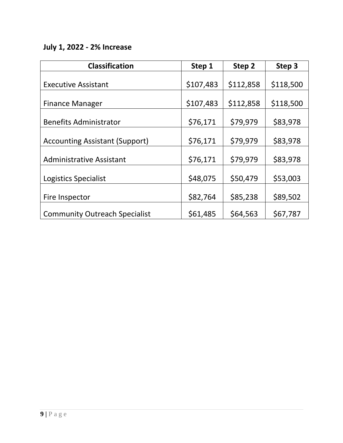# **July 1, 2022 - 2% Increase**

| <b>Classification</b>                 | Step 1    | Step 2    | Step 3    |
|---------------------------------------|-----------|-----------|-----------|
| <b>Executive Assistant</b>            | \$107,483 | \$112,858 | \$118,500 |
|                                       |           |           |           |
| <b>Finance Manager</b>                | \$107,483 | \$112,858 | \$118,500 |
| <b>Benefits Administrator</b>         | \$76,171  | \$79,979  | \$83,978  |
| <b>Accounting Assistant (Support)</b> | \$76,171  | \$79,979  | \$83,978  |
| <b>Administrative Assistant</b>       | \$76,171  | \$79,979  | \$83,978  |
| Logistics Specialist                  | \$48,075  | \$50,479  | \$53,003  |
| Fire Inspector                        | \$82,764  | \$85,238  | \$89,502  |
| <b>Community Outreach Specialist</b>  | \$61,485  | \$64,563  | \$67,787  |